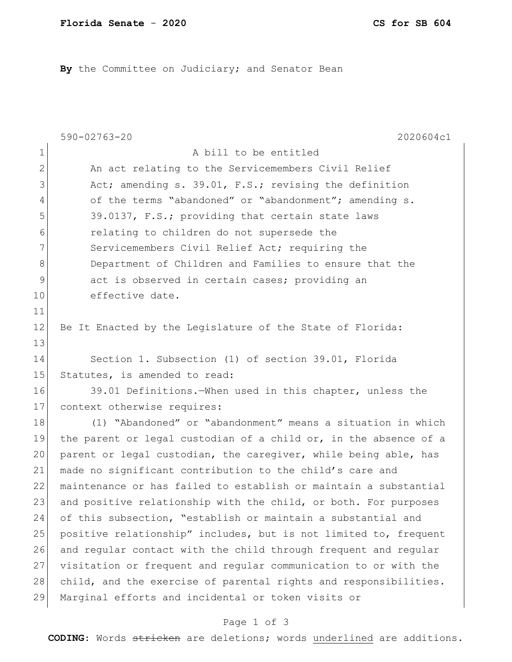By the Committee on Judiciary; and Senator Bean

|                | $590 - 02763 - 20$<br>2020604c1                                  |
|----------------|------------------------------------------------------------------|
| 1              | A bill to be entitled                                            |
| $\overline{2}$ | An act relating to the Servicemembers Civil Relief               |
| 3              | Act; amending s. 39.01, F.S.; revising the definition            |
| 4              | of the terms "abandoned" or "abandonment"; amending s.           |
| 5              | 39.0137, F.S.; providing that certain state laws                 |
| 6              | relating to children do not supersede the                        |
| 7              | Servicemembers Civil Relief Act; requiring the                   |
| 8              | Department of Children and Families to ensure that the           |
| 9              | act is observed in certain cases; providing an                   |
| 10             | effective date.                                                  |
| 11             |                                                                  |
| $12 \,$        | Be It Enacted by the Legislature of the State of Florida:        |
| 13             |                                                                  |
| 14             | Section 1. Subsection (1) of section 39.01, Florida              |
| 15             | Statutes, is amended to read:                                    |
| 16             | 39.01 Definitions. When used in this chapter, unless the         |
| 17             | context otherwise requires:                                      |
| 18             | (1) "Abandoned" or "abandonment" means a situation in which      |
| 19             | the parent or legal custodian of a child or, in the absence of a |
| 20             | parent or legal custodian, the caregiver, while being able, has  |
| 21             | made no significant contribution to the child's care and         |
| 22             | maintenance or has failed to establish or maintain a substantial |
| 23             | and positive relationship with the child, or both. For purposes  |
| 24             | of this subsection, "establish or maintain a substantial and     |
| 25             | positive relationship" includes, but is not limited to, frequent |
| 26             | and regular contact with the child through frequent and regular  |
| 27             | visitation or frequent and regular communication to or with the  |
| 28             | child, and the exercise of parental rights and responsibilities. |
| 29             | Marginal efforts and incidental or token visits or               |

## Page 1 of 3

**CODING**: Words stricken are deletions; words underlined are additions.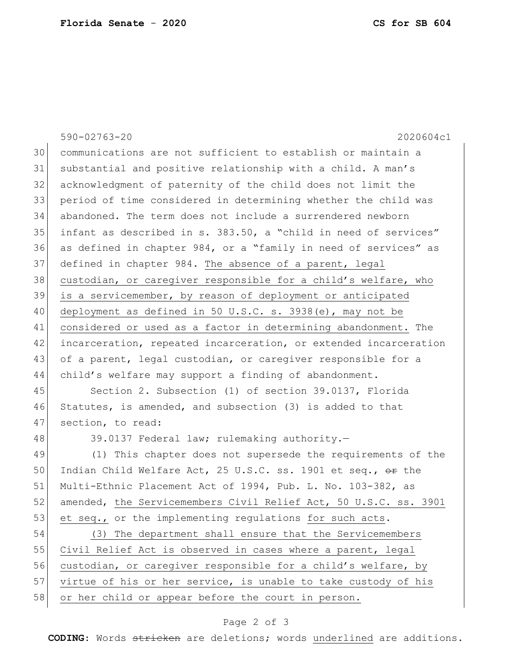|    | $590 - 02763 - 20$<br>2020604c1                                  |
|----|------------------------------------------------------------------|
| 30 | communications are not sufficient to establish or maintain a     |
| 31 | substantial and positive relationship with a child. A man's      |
| 32 | acknowledgment of paternity of the child does not limit the      |
| 33 | period of time considered in determining whether the child was   |
| 34 | abandoned. The term does not include a surrendered newborn       |
| 35 | infant as described in s. 383.50, a "child in need of services"  |
| 36 | as defined in chapter 984, or a "family in need of services" as  |
| 37 | defined in chapter 984. The absence of a parent, legal           |
| 38 | custodian, or caregiver responsible for a child's welfare, who   |
| 39 | is a servicemember, by reason of deployment or anticipated       |
| 40 | deployment as defined in 50 U.S.C. s. 3938(e), may not be        |
| 41 | considered or used as a factor in determining abandonment. The   |
| 42 | incarceration, repeated incarceration, or extended incarceration |
| 43 | of a parent, legal custodian, or caregiver responsible for a     |
| 44 | child's welfare may support a finding of abandonment.            |
| 45 | Section 2. Subsection (1) of section 39.0137, Florida            |
| 46 | Statutes, is amended, and subsection (3) is added to that        |
| 47 | section, to read:                                                |
| 48 | 39.0137 Federal law; rulemaking authority.-                      |
| 49 | (1) This chapter does not supersede the requirements of the      |
| 50 | Indian Child Welfare Act, 25 U.S.C. ss. 1901 et seq., or the     |
| 51 | Multi-Ethnic Placement Act of 1994, Pub. L. No. 103-382, as      |
| 52 | amended, the Servicemembers Civil Relief Act, 50 U.S.C. ss. 3901 |
| 53 | et seq., or the implementing regulations for such acts.          |
| 54 | (3) The department shall ensure that the Servicemembers          |
| 55 | Civil Relief Act is observed in cases where a parent, legal      |
| 56 | custodian, or caregiver responsible for a child's welfare, by    |
| 57 | virtue of his or her service, is unable to take custody of his   |
| 58 | or her child or appear before the court in person.               |

## Page 2 of 3

**CODING**: Words stricken are deletions; words underlined are additions.